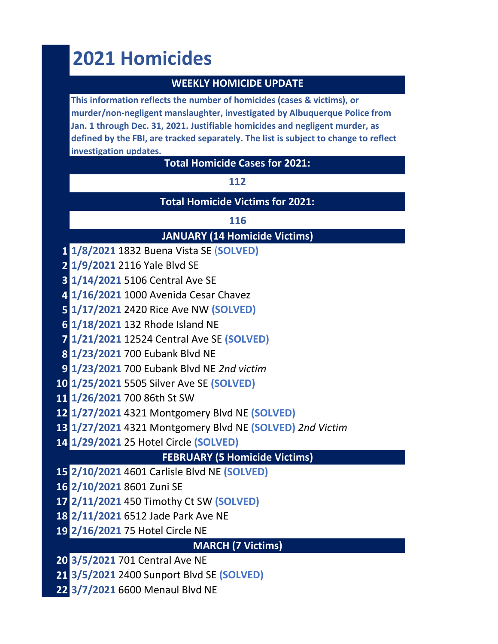# **2021 Homicides**

# **WEEKLY HOMICIDE UPDATE**

**This information reflects the number of homicides (cases & victims), or murder/non-negligent manslaughter, investigated by Albuquerque Police from Jan. 1 through Dec. 31, 2021. Justifiable homicides and negligent murder, as defined by the FBI, are tracked separately. The list is subject to change to reflect investigation updates.** 

#### **Total Homicide Cases for 2021:**

#### 

**Total Homicide Victims for 2021:**

# **JANUARY (14 Homicide Victims)**

- **1/8/2021** 1832 Buena Vista SE (**SOLVED)**
- **1/9/2021** 2116 Yale Blvd SE
- **1/14/2021** 5106 Central Ave SE
- **1/16/2021** 1000 Avenida Cesar Chavez
- **1/17/2021** 2420 Rice Ave NW **(SOLVED)**
- **1/18/2021** 132 Rhode Island NE
- **1/21/2021** 12524 Central Ave SE **(SOLVED)**
- **1/23/2021** 700 Eubank Blvd NE
- **1/23/2021** 700 Eubank Blvd NE *2nd victim*
- **1/25/2021** 5505 Silver Ave SE **(SOLVED)**
- **1/26/2021** 700 86th St SW
- **1/27/2021** 4321 Montgomery Blvd NE **(SOLVED)**
- **1/27/2021** 4321 Montgomery Blvd NE **(SOLVED)** *2nd Victim*
- **1/29/2021** 25 Hotel Circle **(SOLVED)**

# **FEBRUARY (5 Homicide Victims)**

- **2/10/2021** 4601 Carlisle Blvd NE **(SOLVED)**
- **2/10/2021** 8601 Zuni SE
- **2/11/2021** 450 Timothy Ct SW **(SOLVED)**
- **2/11/2021** 6512 Jade Park Ave NE
- **2/16/2021** 75 Hotel Circle NE

# **MARCH (7 Victims)**

- **3/5/2021** 701 Central Ave NE
- **3/5/2021** 2400 Sunport Blvd SE **(SOLVED)**
- **3/7/2021** 6600 Menaul Blvd NE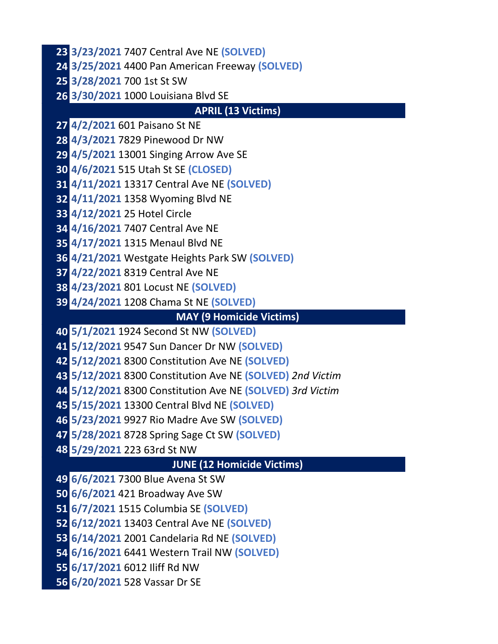**3/23/2021** 7407 Central Ave NE **(SOLVED) 3/25/2021** 4400 Pan American Freeway **(SOLVED) 3/28/2021** 700 1st St SW **3/30/2021** 1000 Louisiana Blvd SE **APRIL (13 Victims) 4/2/2021** 601 Paisano St NE **4/3/2021** 7829 Pinewood Dr NW **4/5/2021** 13001 Singing Arrow Ave SE **4/6/2021** 515 Utah St SE **(CLOSED) 4/11/2021** 13317 Central Ave NE **(SOLVED) 4/11/2021** 1358 Wyoming Blvd NE **4/12/2021** 25 Hotel Circle **4/16/2021** 7407 Central Ave NE **4/17/2021** 1315 Menaul Blvd NE **4/21/2021** Westgate Heights Park SW **(SOLVED) 4/22/2021** 8319 Central Ave NE **4/23/2021** 801 Locust NE **(SOLVED) 4/24/2021** 1208 Chama St NE **(SOLVED) MAY (9 Homicide Victims) 5/1/2021** 1924 Second St NW **(SOLVED) 5/12/2021** 9547 Sun Dancer Dr NW **(SOLVED) 5/12/2021** 8300 Constitution Ave NE **(SOLVED) 5/12/2021** 8300 Constitution Ave NE **(SOLVED)** *2nd Victim* **5/12/2021** 8300 Constitution Ave NE **(SOLVED)** *3rd Victim* **5/15/2021** 13300 Central Blvd NE **(SOLVED) 5/23/2021** 9927 Rio Madre Ave SW **(SOLVED) 5/28/2021** 8728 Spring Sage Ct SW **(SOLVED) 5/29/2021** 223 63rd St NW **JUNE (12 Homicide Victims) 6/6/2021** 7300 Blue Avena St SW

**6/6/2021** 421 Broadway Ave SW

**6/7/2021** 1515 Columbia SE **(SOLVED)**

**6/12/2021** 13403 Central Ave NE **(SOLVED)**

**6/14/2021** 2001 Candelaria Rd NE **(SOLVED)**

**6/16/2021** 6441 Western Trail NW **(SOLVED)**

**6/17/2021** 6012 Iliff Rd NW

**6/20/2021** 528 Vassar Dr SE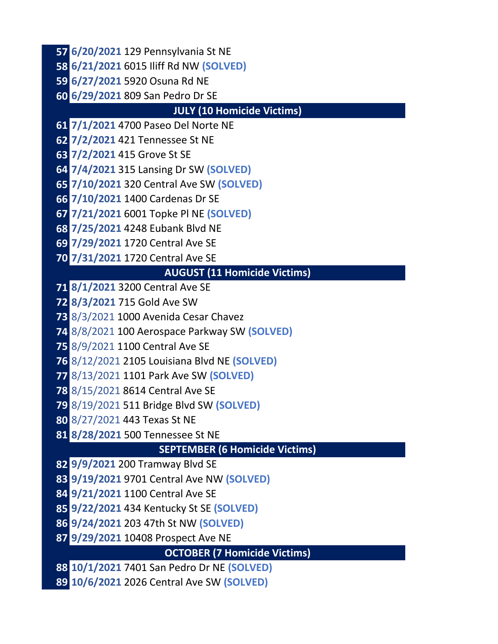**6/20/2021** 129 Pennsylvania St NE

**6/21/2021** 6015 Iliff Rd NW **(SOLVED)**

**6/27/2021** 5920 Osuna Rd NE

**6/29/2021** 809 San Pedro Dr SE

#### **JULY (10 Homicide Victims)**

**7/1/2021** 4700 Paseo Del Norte NE

**7/2/2021** 421 Tennessee St NE

**7/2/2021** 415 Grove St SE

**7/4/2021** 315 Lansing Dr SW **(SOLVED)**

**7/10/2021** 320 Central Ave SW **(SOLVED)**

**7/10/2021** 1400 Cardenas Dr SE

**7/21/2021** 6001 Topke Pl NE **(SOLVED)**

**7/25/2021** 4248 Eubank Blvd NE

**7/29/2021** 1720 Central Ave SE

**7/31/2021** 1720 Central Ave SE

#### **AUGUST (11 Homicide Victims)**

**8/1/2021** 3200 Central Ave SE

**8/3/2021** 715 Gold Ave SW

8/3/2021 1000 Avenida Cesar Chavez

8/8/2021 100 Aerospace Parkway SW **(SOLVED)**

8/9/2021 1100 Central Ave SE

8/12/2021 2105 Louisiana Blvd NE **(SOLVED)**

8/13/2021 1101 Park Ave SW **(SOLVED)**

8/15/2021 8614 Central Ave SE

8/19/2021 511 Bridge Blvd SW **(SOLVED)**

8/27/2021 443 Texas St NE

**8/28/2021** 500 Tennessee St NE

**SEPTEMBER (6 Homicide Victims)**

**9/9/2021** 200 Tramway Blvd SE

**9/19/2021** 9701 Central Ave NW **(SOLVED)**

**9/21/2021** 1100 Central Ave SE

**9/22/2021** 434 Kentucky St SE **(SOLVED)**

**9/24/2021** 203 47th St NW **(SOLVED)**

**9/29/2021** 10408 Prospect Ave NE

**OCTOBER (7 Homicide Victims)**

**10/1/2021** 7401 San Pedro Dr NE **(SOLVED)**

**10/6/2021** 2026 Central Ave SW **(SOLVED)**